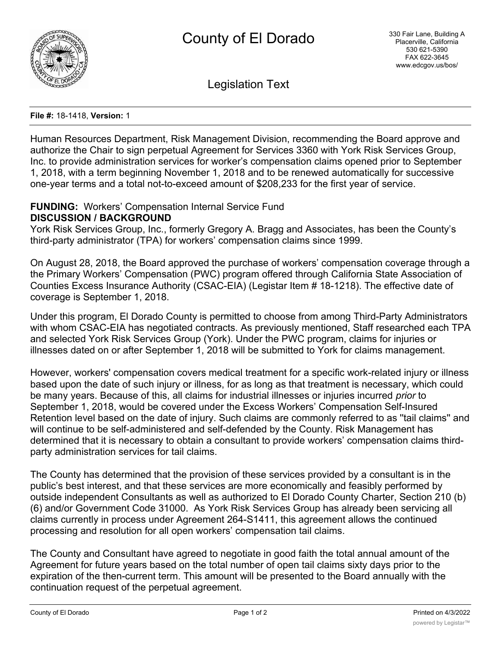

Legislation Text

#### **File #:** 18-1418, **Version:** 1

Human Resources Department, Risk Management Division, recommending the Board approve and authorize the Chair to sign perpetual Agreement for Services 3360 with York Risk Services Group, Inc. to provide administration services for worker's compensation claims opened prior to September 1, 2018, with a term beginning November 1, 2018 and to be renewed automatically for successive one-year terms and a total not-to-exceed amount of \$208,233 for the first year of service.

## **FUNDING:** Workers' Compensation Internal Service Fund **DISCUSSION / BACKGROUND**

York Risk Services Group, Inc., formerly Gregory A. Bragg and Associates, has been the County's third-party administrator (TPA) for workers' compensation claims since 1999.

On August 28, 2018, the Board approved the purchase of workers' compensation coverage through a the Primary Workers' Compensation (PWC) program offered through California State Association of Counties Excess Insurance Authority (CSAC-EIA) (Legistar Item # 18-1218). The effective date of coverage is September 1, 2018.

Under this program, El Dorado County is permitted to choose from among Third-Party Administrators with whom CSAC-EIA has negotiated contracts. As previously mentioned, Staff researched each TPA and selected York Risk Services Group (York). Under the PWC program, claims for injuries or illnesses dated on or after September 1, 2018 will be submitted to York for claims management.

However, workers' compensation covers medical treatment for a specific work-related injury or illness based upon the date of such injury or illness, for as long as that treatment is necessary, which could be many years. Because of this, all claims for industrial illnesses or injuries incurred *prior* to September 1, 2018, would be covered under the Excess Workers' Compensation Self-Insured Retention level based on the date of injury. Such claims are commonly referred to as ''tail claims'' and will continue to be self-administered and self-defended by the County. Risk Management has determined that it is necessary to obtain a consultant to provide workers' compensation claims thirdparty administration services for tail claims.

The County has determined that the provision of these services provided by a consultant is in the public's best interest, and that these services are more economically and feasibly performed by outside independent Consultants as well as authorized to El Dorado County Charter, Section 210 (b) (6) and/or Government Code 31000. As York Risk Services Group has already been servicing all claims currently in process under Agreement 264-S1411, this agreement allows the continued processing and resolution for all open workers' compensation tail claims.

The County and Consultant have agreed to negotiate in good faith the total annual amount of the Agreement for future years based on the total number of open tail claims sixty days prior to the expiration of the then-current term. This amount will be presented to the Board annually with the continuation request of the perpetual agreement.